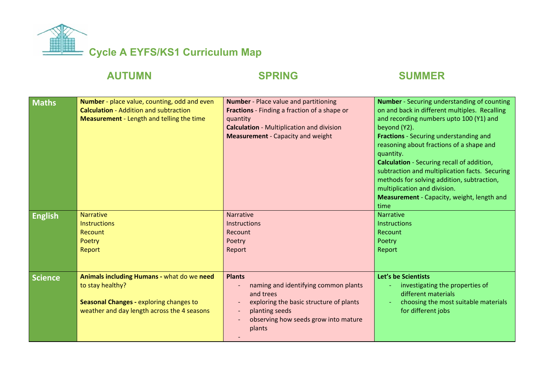

## **AUTUMN SPRING SUMMER**

| <b>Maths</b>   | Number - place value, counting, odd and even<br><b>Calculation - Addition and subtraction</b><br><b>Measurement</b> - Length and telling the time        | <b>Number</b> - Place value and partitioning<br>Fractions - Finding a fraction of a shape or<br>quantity<br><b>Calculation - Multiplication and division</b><br><b>Measurement</b> - Capacity and weight      | <b>Number</b> - Securing understanding of counting<br>on and back in different multiples. Recalling<br>and recording numbers upto 100 (Y1) and<br>beyond (Y2).<br>Fractions - Securing understanding and<br>reasoning about fractions of a shape and<br>quantity.<br>Calculation - Securing recall of addition,<br>subtraction and multiplication facts. Securing<br>methods for solving addition, subtraction,<br>multiplication and division.<br>Measurement - Capacity, weight, length and<br>time |
|----------------|----------------------------------------------------------------------------------------------------------------------------------------------------------|---------------------------------------------------------------------------------------------------------------------------------------------------------------------------------------------------------------|-------------------------------------------------------------------------------------------------------------------------------------------------------------------------------------------------------------------------------------------------------------------------------------------------------------------------------------------------------------------------------------------------------------------------------------------------------------------------------------------------------|
| <b>English</b> | <b>Narrative</b><br><b>Instructions</b><br>Recount<br>Poetry<br>Report                                                                                   | Narrative<br><b>Instructions</b><br>Recount<br>Poetry<br>Report                                                                                                                                               | <b>Narrative</b><br>Instructions<br>Recount<br>Poetry<br>Report                                                                                                                                                                                                                                                                                                                                                                                                                                       |
| <b>Science</b> | Animals including Humans - what do we need<br>to stay healthy?<br>Seasonal Changes - exploring changes to<br>weather and day length across the 4 seasons | <b>Plants</b><br>naming and identifying common plants<br>and trees<br>exploring the basic structure of plants<br>planting seeds<br>$\overline{\phantom{a}}$<br>observing how seeds grow into mature<br>plants | Let's be Scientists<br>investigating the properties of<br>different materials<br>choosing the most suitable materials<br>for different jobs                                                                                                                                                                                                                                                                                                                                                           |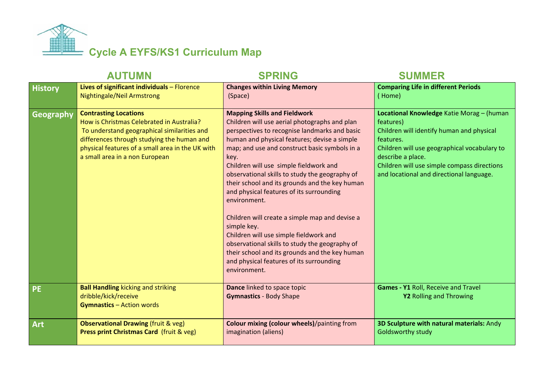

| <b>AUTUMN</b>  |                                                                                                                                                                                                                                                              | <b>SPRING</b>                                                                                                                                                                                                                                                                                                                                                                                                                                                                                                                                                                                                                                                                                                                       | <b>SUMMER</b>                                                                                                                                                                                                                                                                    |
|----------------|--------------------------------------------------------------------------------------------------------------------------------------------------------------------------------------------------------------------------------------------------------------|-------------------------------------------------------------------------------------------------------------------------------------------------------------------------------------------------------------------------------------------------------------------------------------------------------------------------------------------------------------------------------------------------------------------------------------------------------------------------------------------------------------------------------------------------------------------------------------------------------------------------------------------------------------------------------------------------------------------------------------|----------------------------------------------------------------------------------------------------------------------------------------------------------------------------------------------------------------------------------------------------------------------------------|
| <b>History</b> | Lives of significant individuals - Florence<br>Nightingale/Neil Armstrong                                                                                                                                                                                    | <b>Changes within Living Memory</b><br>(Space)                                                                                                                                                                                                                                                                                                                                                                                                                                                                                                                                                                                                                                                                                      | <b>Comparing Life in different Periods</b><br>(Home)                                                                                                                                                                                                                             |
| Geography      | <b>Contrasting Locations</b><br>How is Christmas Celebrated in Australia?<br>To understand geographical similarities and<br>differences through studying the human and<br>physical features of a small area in the UK with<br>a small area in a non European | <b>Mapping Skills and Fieldwork</b><br>Children will use aerial photographs and plan<br>perspectives to recognise landmarks and basic<br>human and physical features; devise a simple<br>map; and use and construct basic symbols in a<br>key.<br>Children will use simple fieldwork and<br>observational skills to study the geography of<br>their school and its grounds and the key human<br>and physical features of its surrounding<br>environment.<br>Children will create a simple map and devise a<br>simple key.<br>Children will use simple fieldwork and<br>observational skills to study the geography of<br>their school and its grounds and the key human<br>and physical features of its surrounding<br>environment. | Locational Knowledge Katie Morag - (human<br>features)<br>Children will identify human and physical<br>features.<br>Children will use geographical vocabulary to<br>describe a place.<br>Children will use simple compass directions<br>and locational and directional language. |
| <b>PE</b>      | <b>Ball Handling kicking and striking</b><br>dribble/kick/receive<br><b>Gymnastics - Action words</b>                                                                                                                                                        | Dance linked to space topic<br><b>Gymnastics - Body Shape</b>                                                                                                                                                                                                                                                                                                                                                                                                                                                                                                                                                                                                                                                                       | <b>Games - Y1 Roll, Receive and Travel</b><br>Y2 Rolling and Throwing                                                                                                                                                                                                            |
| <b>Art</b>     | <b>Observational Drawing (fruit &amp; veg)</b><br>Press print Christmas Card (fruit & veg)                                                                                                                                                                   | <b>Colour mixing (colour wheels)/painting from</b><br>imagination (aliens)                                                                                                                                                                                                                                                                                                                                                                                                                                                                                                                                                                                                                                                          | 3D Sculpture with natural materials: Andy<br><b>Goldsworthy study</b>                                                                                                                                                                                                            |